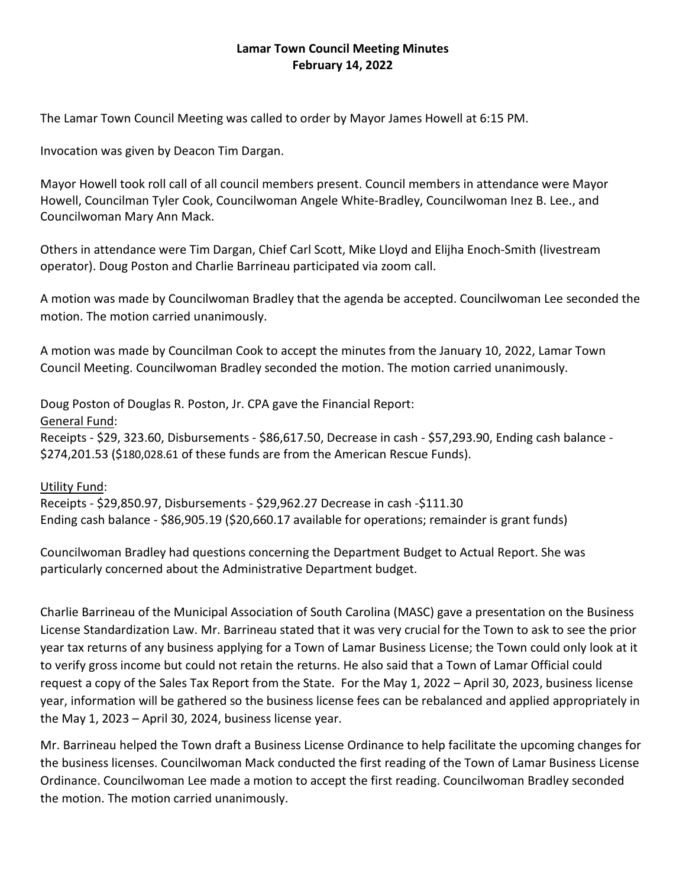## **Lamar Town Council Meeting Minutes February 14, 2022**

The Lamar Town Council Meeting was called to order by Mayor James Howell at 6:15 PM.

Invocation was given by Deacon Tim Dargan.

Mayor Howell took roll call of all council members present. Council members in attendance were Mayor Howell, Councilman Tyler Cook, Councilwoman Angele White-Bradley, Councilwoman Inez B. Lee., and Councilwoman Mary Ann Mack.

Others in attendance were Tim Dargan, Chief Carl Scott, Mike Lloyd and Elijha Enoch-Smith (livestream operator). Doug Poston and Charlie Barrineau participated via zoom call.

A motion was made by Councilwoman Bradley that the agenda be accepted. Councilwoman Lee seconded the motion. The motion carried unanimously.

A motion was made by Councilman Cook to accept the minutes from the January 10, 2022, Lamar Town Council Meeting. Councilwoman Bradley seconded the motion. The motion carried unanimously.

Doug Poston of Douglas R. Poston, Jr. CPA gave the Financial Report: General Fund: Receipts - \$29, 323.60, Disbursements - \$86,617.50, Decrease in cash - \$57,293.90, Ending cash balance -\$274,201.53 (\$180,028.61 of these funds are from the American Rescue Funds).

Utility Fund: Receipts - \$29,850.97, Disbursements - \$29,962.27 Decrease in cash -\$111.30 Ending cash balance - \$86,905.19 (\$20,660.17 available for operations; remainder is grant funds)

Councilwoman Bradley had questions concerning the Department Budget to Actual Report. She was particularly concerned about the Administrative Department budget.

Charlie Barrineau of the Municipal Association of South Carolina (MASC) gave a presentation on the Business License Standardization Law. Mr. Barrineau stated that it was very crucial for the Town to ask to see the prior year tax returns of any business applying for a Town of Lamar Business License; the Town could only look at it to verify gross income but could not retain the returns. He also said that a Town of Lamar Official could request a copy of the Sales Tax Report from the State. For the May 1, 2022 – April 30, 2023, business license year, information will be gathered so the business license fees can be rebalanced and applied appropriately in the May 1, 2023 – April 30, 2024, business license year.

Mr. Barrineau helped the Town draft a Business License Ordinance to help facilitate the upcoming changes for the business licenses. Councilwoman Mack conducted the first reading of the Town of Lamar Business License Ordinance. Councilwoman Lee made a motion to accept the first reading. Councilwoman Bradley seconded the motion. The motion carried unanimously.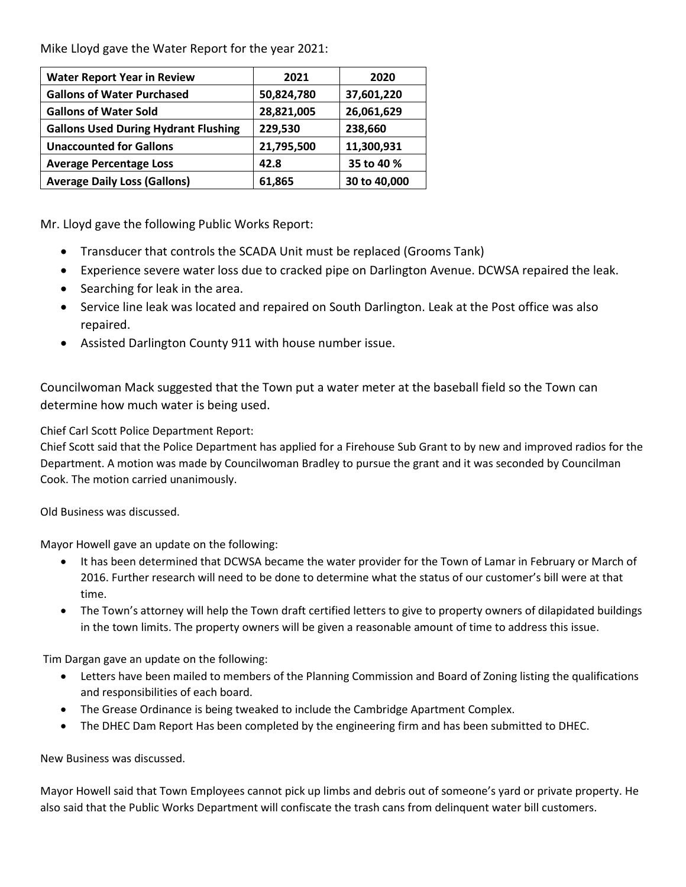Mike Lloyd gave the Water Report for the year 2021:

| <b>Water Report Year in Review</b>          | 2021       | 2020         |
|---------------------------------------------|------------|--------------|
| <b>Gallons of Water Purchased</b>           | 50,824,780 | 37,601,220   |
| <b>Gallons of Water Sold</b>                | 28,821,005 | 26,061,629   |
| <b>Gallons Used During Hydrant Flushing</b> | 229,530    | 238,660      |
| <b>Unaccounted for Gallons</b>              | 21,795,500 | 11,300,931   |
| <b>Average Percentage Loss</b>              | 42.8       | 35 to 40 %   |
| <b>Average Daily Loss (Gallons)</b>         | 61,865     | 30 to 40,000 |

Mr. Lloyd gave the following Public Works Report:

- Transducer that controls the SCADA Unit must be replaced (Grooms Tank)
- Experience severe water loss due to cracked pipe on Darlington Avenue. DCWSA repaired the leak.
- Searching for leak in the area.
- Service line leak was located and repaired on South Darlington. Leak at the Post office was also repaired.
- Assisted Darlington County 911 with house number issue.

Councilwoman Mack suggested that the Town put a water meter at the baseball field so the Town can determine how much water is being used.

Chief Carl Scott Police Department Report:

Chief Scott said that the Police Department has applied for a Firehouse Sub Grant to by new and improved radios for the Department. A motion was made by Councilwoman Bradley to pursue the grant and it was seconded by Councilman Cook. The motion carried unanimously.

Old Business was discussed.

Mayor Howell gave an update on the following:

- It has been determined that DCWSA became the water provider for the Town of Lamar in February or March of 2016. Further research will need to be done to determine what the status of our customer's bill were at that time.
- The Town's attorney will help the Town draft certified letters to give to property owners of dilapidated buildings in the town limits. The property owners will be given a reasonable amount of time to address this issue.

Tim Dargan gave an update on the following:

- Letters have been mailed to members of the Planning Commission and Board of Zoning listing the qualifications and responsibilities of each board.
- The Grease Ordinance is being tweaked to include the Cambridge Apartment Complex.
- The DHEC Dam Report Has been completed by the engineering firm and has been submitted to DHEC.

New Business was discussed.

Mayor Howell said that Town Employees cannot pick up limbs and debris out of someone's yard or private property. He also said that the Public Works Department will confiscate the trash cans from delinquent water bill customers.